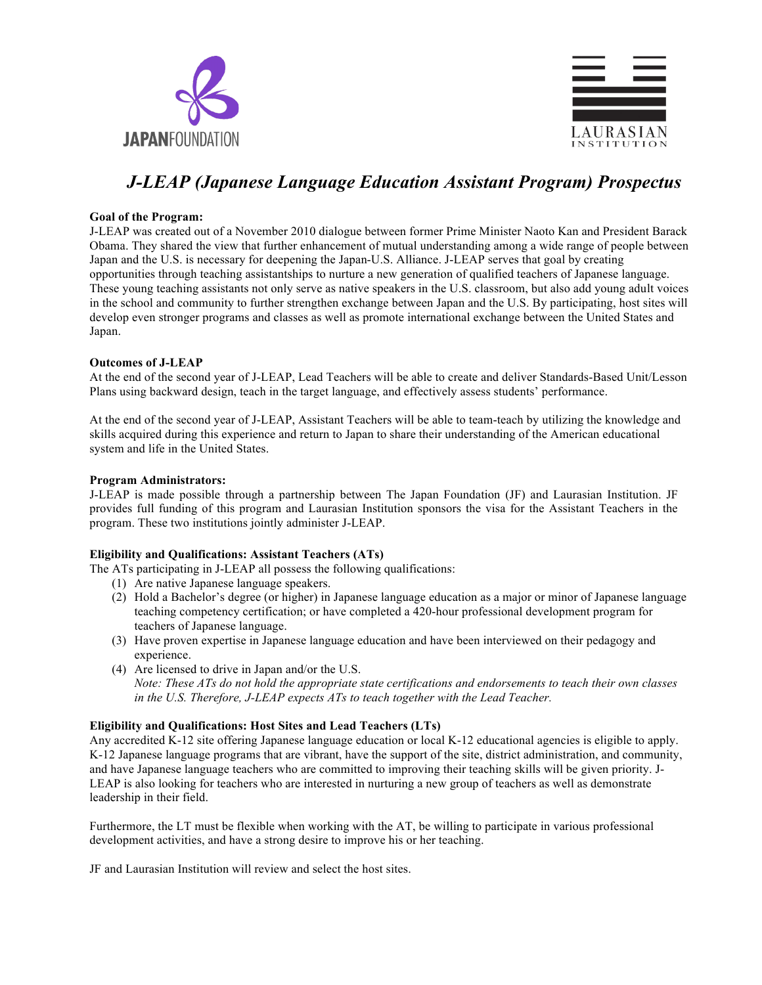



# *J-LEAP (Japanese Language Education Assistant Program) Prospectus*

## **Goal of the Program:**

J-LEAP was created out of a November 2010 dialogue between former Prime Minister Naoto Kan and President Barack Obama. They shared the view that further enhancement of mutual understanding among a wide range of people between Japan and the U.S. is necessary for deepening the Japan-U.S. Alliance. J-LEAP serves that goal by creating opportunities through teaching assistantships to nurture a new generation of qualified teachers of Japanese language. These young teaching assistants not only serve as native speakers in the U.S. classroom, but also add young adult voices in the school and community to further strengthen exchange between Japan and the U.S. By participating, host sites will develop even stronger programs and classes as well as promote international exchange between the United States and Japan.

#### **Outcomes of J-LEAP**

At the end of the second year of J-LEAP, Lead Teachers will be able to create and deliver Standards-Based Unit/Lesson Plans using backward design, teach in the target language, and effectively assess students' performance.

At the end of the second year of J-LEAP, Assistant Teachers will be able to team-teach by utilizing the knowledge and skills acquired during this experience and return to Japan to share their understanding of the American educational system and life in the United States.

#### **Program Administrators:**

J-LEAP is made possible through a partnership between The Japan Foundation (JF) and Laurasian Institution. JF provides full funding of this program and Laurasian Institution sponsors the visa for the Assistant Teachers in the program. These two institutions jointly administer J-LEAP.

# **Eligibility and Qualifications: Assistant Teachers (ATs)**

The ATs participating in J-LEAP all possess the following qualifications:

- (1) Are native Japanese language speakers.
- (2) Hold a Bachelor's degree (or higher) in Japanese language education as a major or minor of Japanese language teaching competency certification; or have completed a 420-hour professional development program for teachers of Japanese language.
- (3) Have proven expertise in Japanese language education and have been interviewed on their pedagogy and experience.
- (4) Are licensed to drive in Japan and/or the U.S. *Note: These ATs do not hold the appropriate state certifications and endorsements to teach their own classes in the U.S. Therefore, J-LEAP expects ATs to teach together with the Lead Teacher.*

# **Eligibility and Qualifications: Host Sites and Lead Teachers (LTs)**

Any accredited K-12 site offering Japanese language education or local K-12 educational agencies is eligible to apply. K-12 Japanese language programs that are vibrant, have the support of the site, district administration, and community, and have Japanese language teachers who are committed to improving their teaching skills will be given priority. J-LEAP is also looking for teachers who are interested in nurturing a new group of teachers as well as demonstrate leadership in their field.

Furthermore, the LT must be flexible when working with the AT, be willing to participate in various professional development activities, and have a strong desire to improve his or her teaching.

JF and Laurasian Institution will review and select the host sites.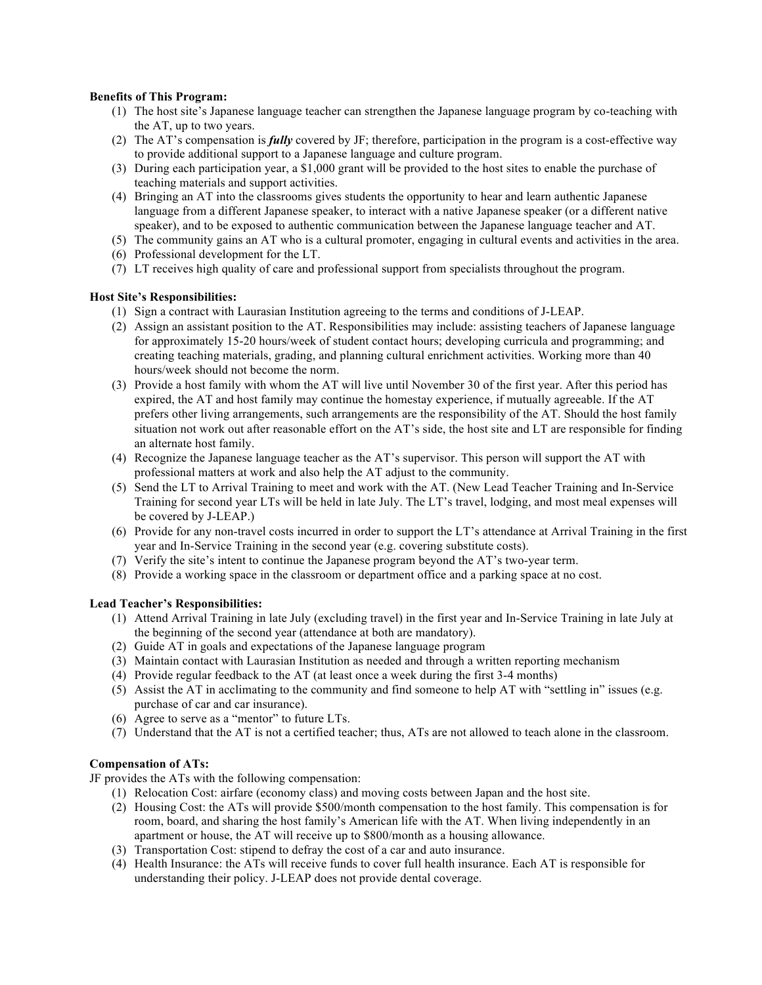# **Benefits of This Program:**

- (1) The host site's Japanese language teacher can strengthen the Japanese language program by co-teaching with the AT, up to two years.
- (2) The AT's compensation is *fully* covered by JF; therefore, participation in the program is a cost-effective way to provide additional support to a Japanese language and culture program.
- (3) During each participation year, a \$1,000 grant will be provided to the host sites to enable the purchase of teaching materials and support activities.
- (4) Bringing an AT into the classrooms gives students the opportunity to hear and learn authentic Japanese language from a different Japanese speaker, to interact with a native Japanese speaker (or a different native speaker), and to be exposed to authentic communication between the Japanese language teacher and AT.
- (5) The community gains an AT who is a cultural promoter, engaging in cultural events and activities in the area.
- (6) Professional development for the LT.
- (7) LT receives high quality of care and professional support from specialists throughout the program.

#### **Host Site's Responsibilities:**

- (1) Sign a contract with Laurasian Institution agreeing to the terms and conditions of J-LEAP.
- (2) Assign an assistant position to the AT. Responsibilities may include: assisting teachers of Japanese language for approximately 15-20 hours/week of student contact hours; developing curricula and programming; and creating teaching materials, grading, and planning cultural enrichment activities. Working more than 40 hours/week should not become the norm.
- (3) Provide a host family with whom the AT will live until November 30 of the first year. After this period has expired, the AT and host family may continue the homestay experience, if mutually agreeable. If the AT prefers other living arrangements, such arrangements are the responsibility of the AT. Should the host family situation not work out after reasonable effort on the AT's side, the host site and LT are responsible for finding an alternate host family.
- (4) Recognize the Japanese language teacher as the AT's supervisor. This person will support the AT with professional matters at work and also help the AT adjust to the community.
- (5) Send the LT to Arrival Training to meet and work with the AT. (New Lead Teacher Training and In-Service Training for second year LTs will be held in late July. The LT's travel, lodging, and most meal expenses will be covered by J-LEAP.)
- (6) Provide for any non-travel costs incurred in order to support the LT's attendance at Arrival Training in the first year and In-Service Training in the second year (e.g. covering substitute costs).
- (7) Verify the site's intent to continue the Japanese program beyond the AT's two-year term.
- (8) Provide a working space in the classroom or department office and a parking space at no cost.

# **Lead Teacher's Responsibilities:**

- (1) Attend Arrival Training in late July (excluding travel) in the first year and In-Service Training in late July at the beginning of the second year (attendance at both are mandatory).
- (2) Guide AT in goals and expectations of the Japanese language program
- (3) Maintain contact with Laurasian Institution as needed and through a written reporting mechanism
- (4) Provide regular feedback to the AT (at least once a week during the first 3-4 months)
- (5) Assist the AT in acclimating to the community and find someone to help AT with "settling in" issues (e.g. purchase of car and car insurance).
- (6) Agree to serve as a "mentor" to future LTs.
- (7) Understand that the AT is not a certified teacher; thus, ATs are not allowed to teach alone in the classroom.

# **Compensation of ATs:**

JF provides the ATs with the following compensation:

- (1) Relocation Cost: airfare (economy class) and moving costs between Japan and the host site.
- (2) Housing Cost: the ATs will provide \$500/month compensation to the host family. This compensation is for room, board, and sharing the host family's American life with the AT. When living independently in an apartment or house, the AT will receive up to \$800/month as a housing allowance.
- (3) Transportation Cost: stipend to defray the cost of a car and auto insurance.
- (4) Health Insurance: the ATs will receive funds to cover full health insurance. Each AT is responsible for understanding their policy. J-LEAP does not provide dental coverage.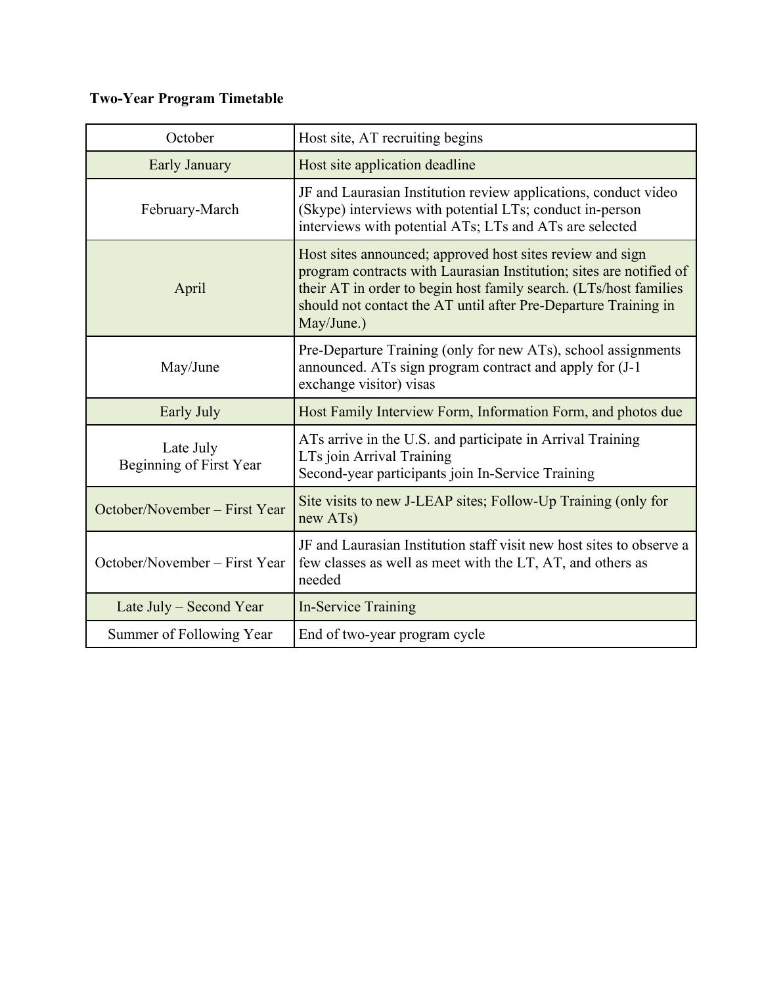# **Two-Year Program Timetable**

| October                              | Host site, AT recruiting begins                                                                                                                                                                                                                                                        |
|--------------------------------------|----------------------------------------------------------------------------------------------------------------------------------------------------------------------------------------------------------------------------------------------------------------------------------------|
| Early January                        | Host site application deadline                                                                                                                                                                                                                                                         |
| February-March                       | JF and Laurasian Institution review applications, conduct video<br>(Skype) interviews with potential LTs; conduct in-person<br>interviews with potential ATs; LTs and ATs are selected                                                                                                 |
| April                                | Host sites announced; approved host sites review and sign<br>program contracts with Laurasian Institution; sites are notified of<br>their AT in order to begin host family search. (LTs/host families<br>should not contact the AT until after Pre-Departure Training in<br>May/June.) |
| May/June                             | Pre-Departure Training (only for new ATs), school assignments<br>announced. ATs sign program contract and apply for (J-1<br>exchange visitor) visas                                                                                                                                    |
| Early July                           | Host Family Interview Form, Information Form, and photos due                                                                                                                                                                                                                           |
| Late July<br>Beginning of First Year | ATs arrive in the U.S. and participate in Arrival Training<br>LTs join Arrival Training<br>Second-year participants join In-Service Training                                                                                                                                           |
| October/November – First Year        | Site visits to new J-LEAP sites; Follow-Up Training (only for<br>new ATs)                                                                                                                                                                                                              |
| October/November – First Year        | JF and Laurasian Institution staff visit new host sites to observe a<br>few classes as well as meet with the LT, AT, and others as<br>needed                                                                                                                                           |
| Late July – Second Year              | <b>In-Service Training</b>                                                                                                                                                                                                                                                             |
| Summer of Following Year             | End of two-year program cycle                                                                                                                                                                                                                                                          |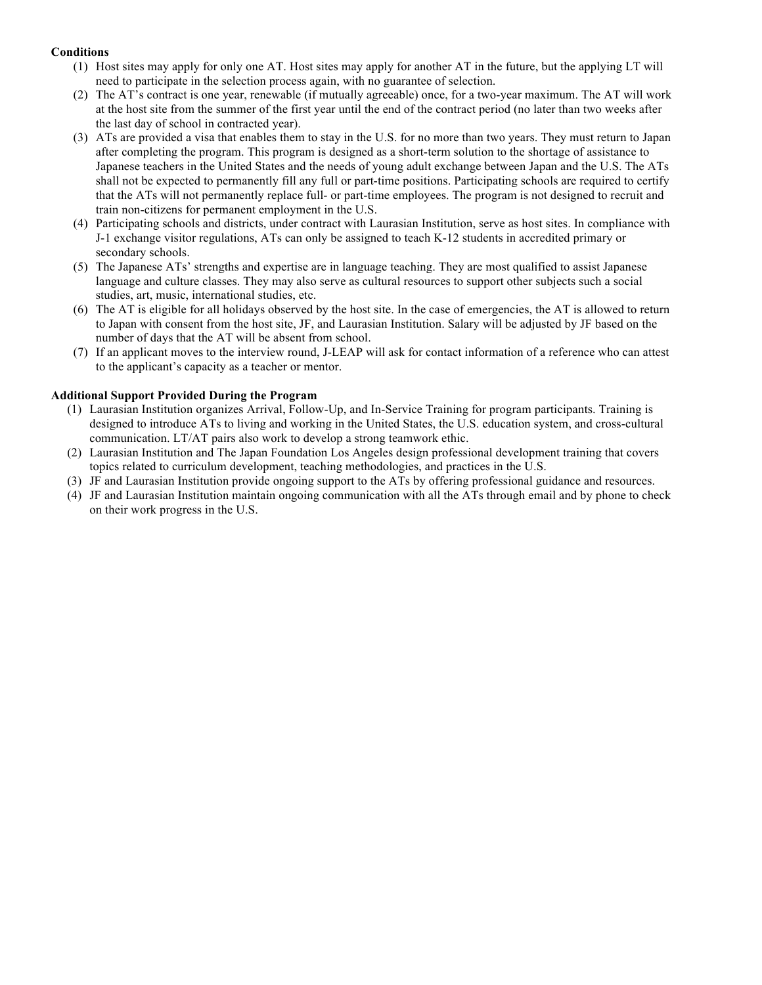# **Conditions**

- (1) Host sites may apply for only one AT. Host sites may apply for another AT in the future, but the applying LT will need to participate in the selection process again, with no guarantee of selection.
- (2) The AT's contract is one year, renewable (if mutually agreeable) once, for a two-year maximum. The AT will work at the host site from the summer of the first year until the end of the contract period (no later than two weeks after the last day of school in contracted year).
- (3) ATs are provided a visa that enables them to stay in the U.S. for no more than two years. They must return to Japan after completing the program. This program is designed as a short-term solution to the shortage of assistance to Japanese teachers in the United States and the needs of young adult exchange between Japan and the U.S. The ATs shall not be expected to permanently fill any full or part-time positions. Participating schools are required to certify that the ATs will not permanently replace full- or part-time employees. The program is not designed to recruit and train non-citizens for permanent employment in the U.S.
- (4) Participating schools and districts, under contract with Laurasian Institution, serve as host sites. In compliance with J-1 exchange visitor regulations, ATs can only be assigned to teach K-12 students in accredited primary or secondary schools.
- (5) The Japanese ATs' strengths and expertise are in language teaching. They are most qualified to assist Japanese language and culture classes. They may also serve as cultural resources to support other subjects such a social studies, art, music, international studies, etc.
- (6) The AT is eligible for all holidays observed by the host site. In the case of emergencies, the AT is allowed to return to Japan with consent from the host site, JF, and Laurasian Institution. Salary will be adjusted by JF based on the number of days that the AT will be absent from school.
- (7) If an applicant moves to the interview round, J-LEAP will ask for contact information of a reference who can attest to the applicant's capacity as a teacher or mentor.

#### **Additional Support Provided During the Program**

- (1) Laurasian Institution organizes Arrival, Follow-Up, and In-Service Training for program participants. Training is designed to introduce ATs to living and working in the United States, the U.S. education system, and cross-cultural communication. LT/AT pairs also work to develop a strong teamwork ethic.
- (2) Laurasian Institution and The Japan Foundation Los Angeles design professional development training that covers topics related to curriculum development, teaching methodologies, and practices in the U.S.
- (3) JF and Laurasian Institution provide ongoing support to the ATs by offering professional guidance and resources.
- (4) JF and Laurasian Institution maintain ongoing communication with all the ATs through email and by phone to check on their work progress in the U.S.